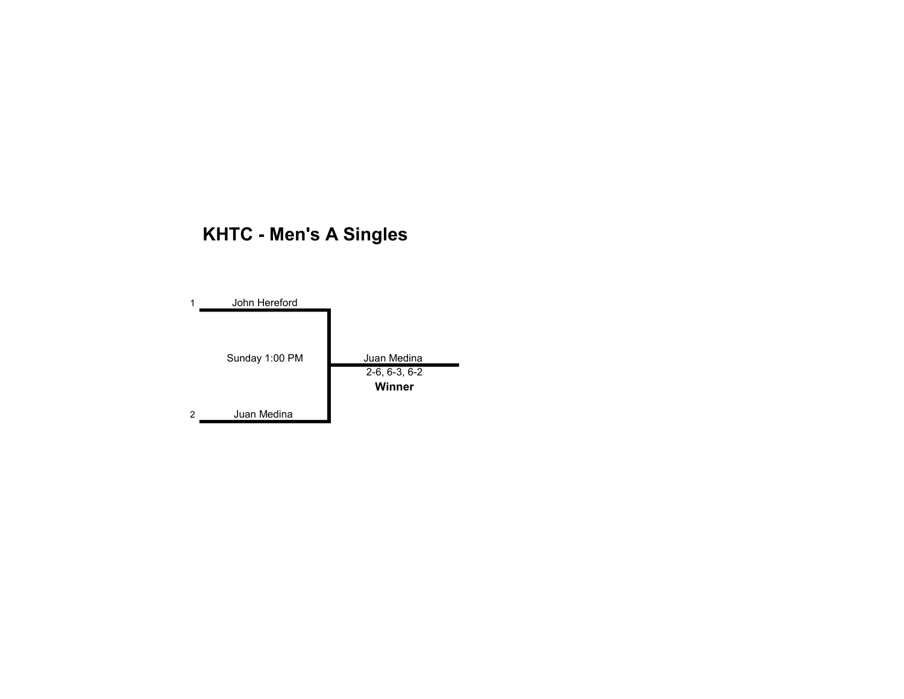# KHTC - Men's A Singles

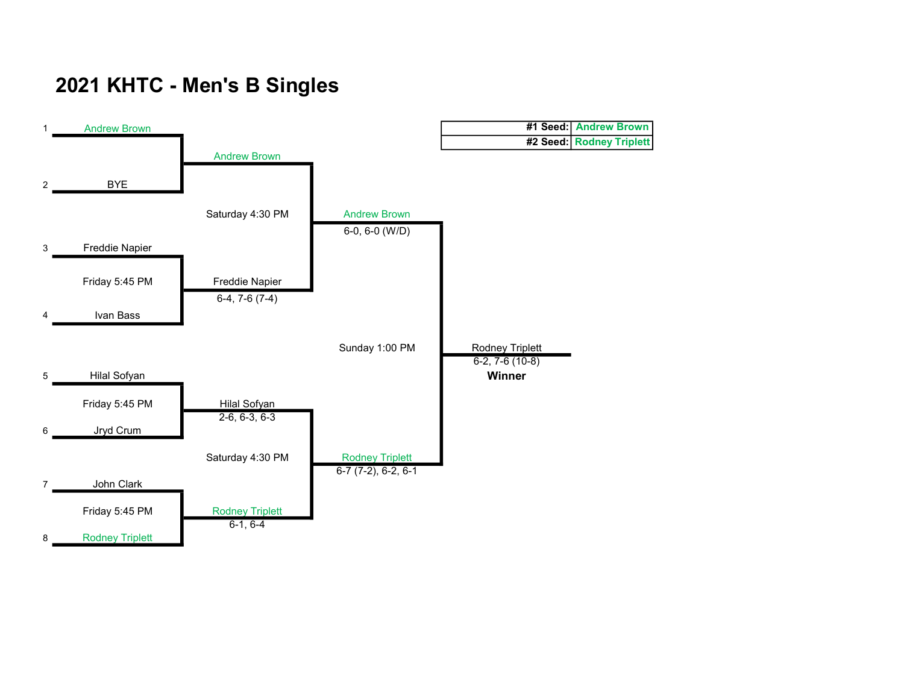# 2021 KHTC - Men's B Singles

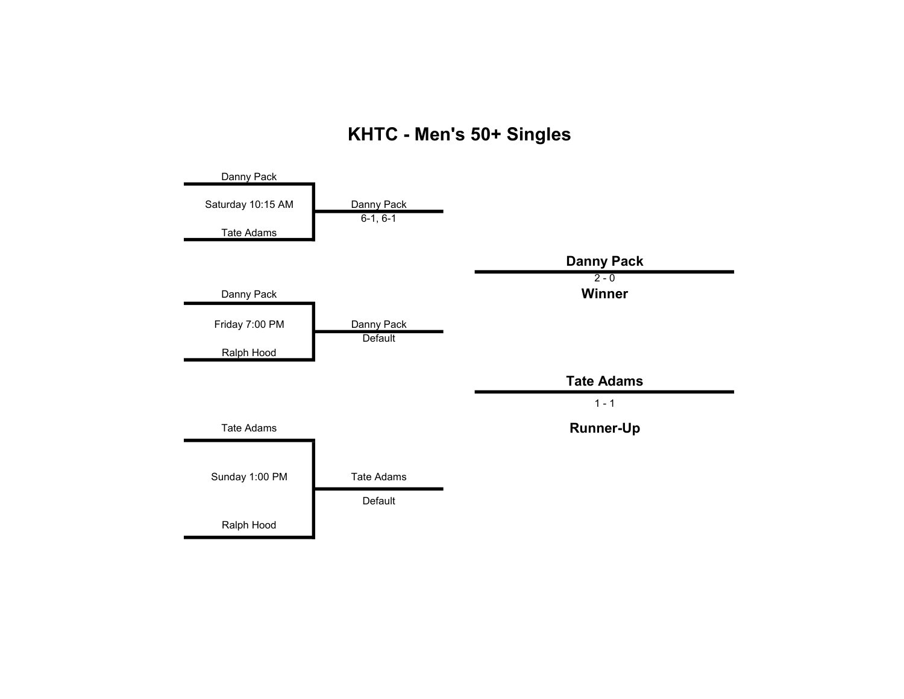### KHTC - Men's 50+ Singles

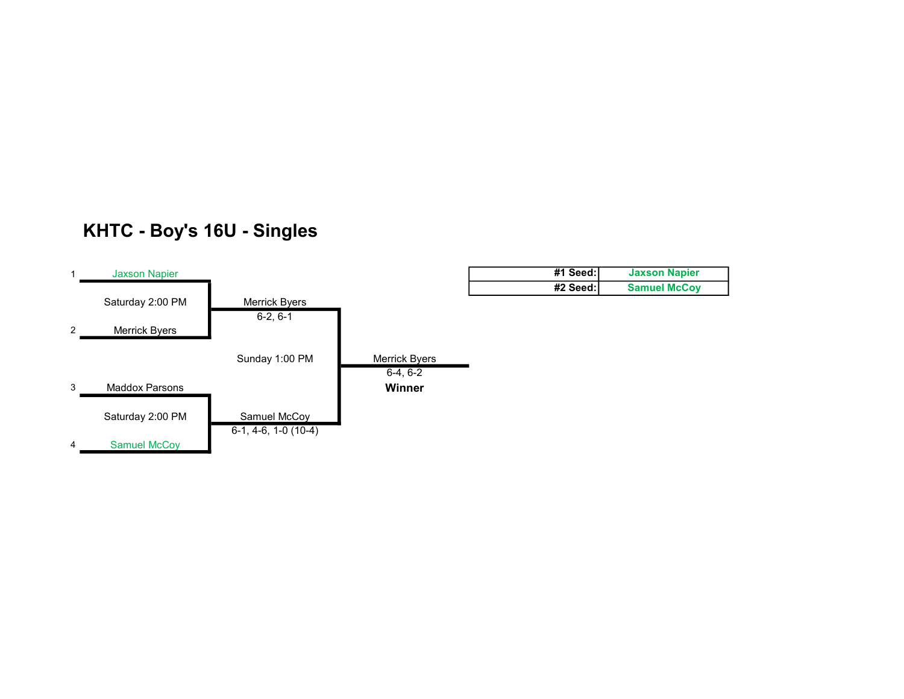### KHTC - Boy's 16U - Singles

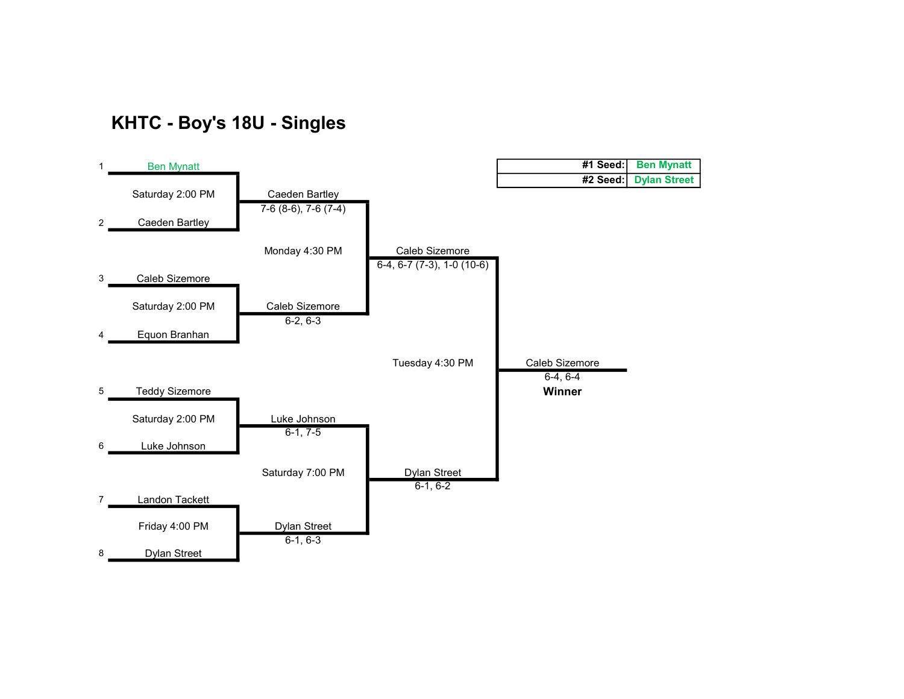#### KHTC - Boy's 18U - Singles

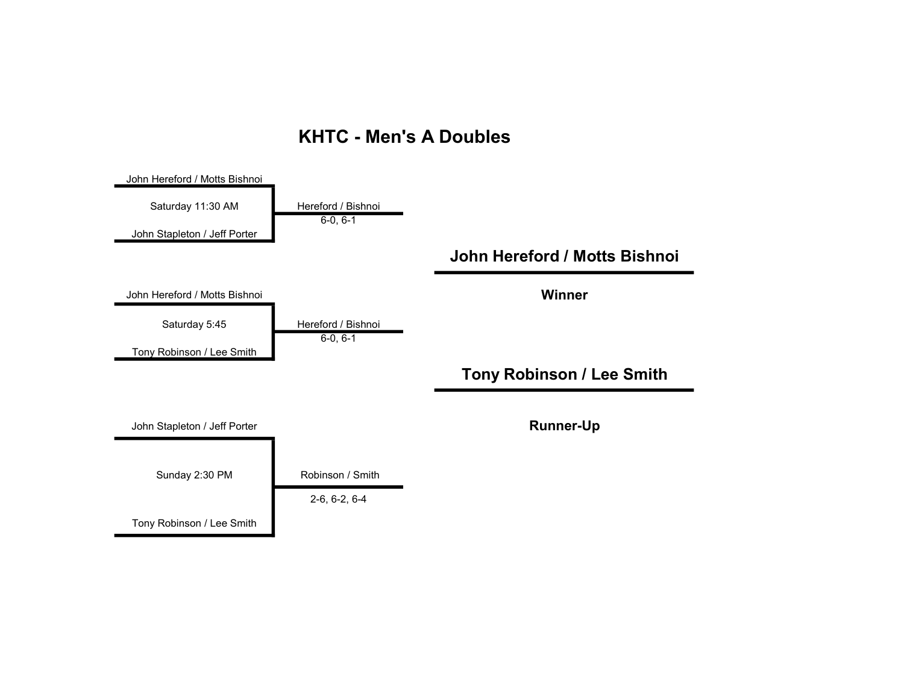#### KHTC - Men's A Doubles

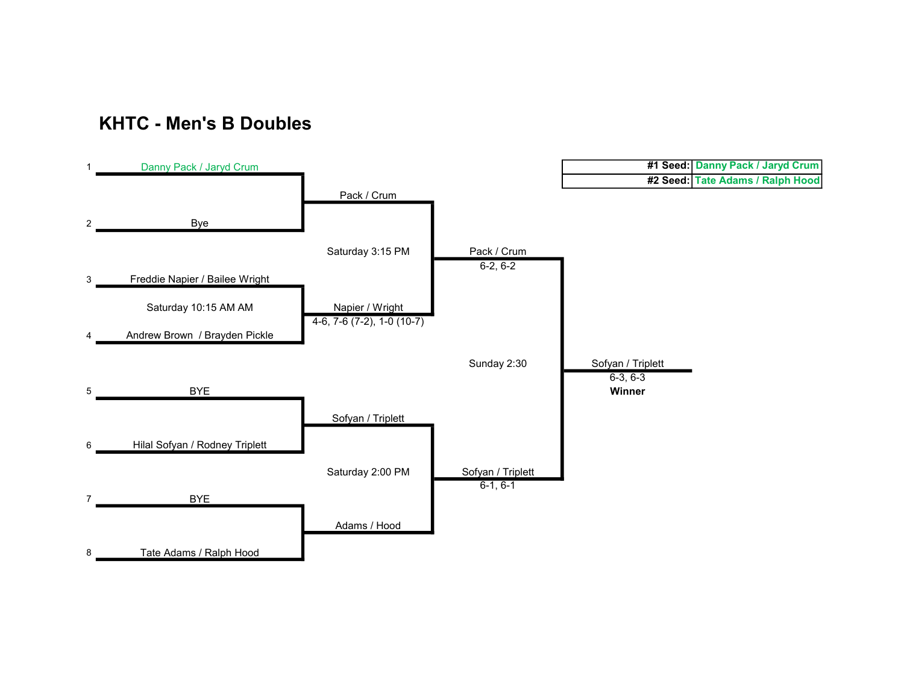#### KHTC - Men's B Doubles

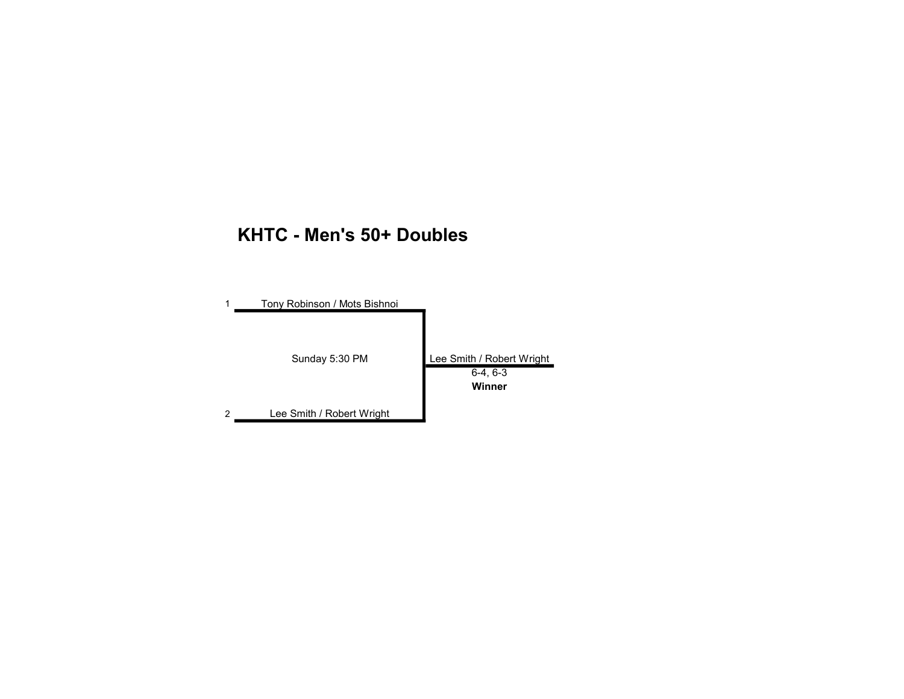#### KHTC - Men's 50+ Doubles

|   | Tony Robinson / Mots Bishnoi |                           |
|---|------------------------------|---------------------------|
|   |                              |                           |
|   | Sunday 5:30 PM               | Lee Smith / Robert Wright |
|   |                              | $6-4, 6-3$                |
|   |                              | Winner                    |
| 2 | Lee Smith / Robert Wright    |                           |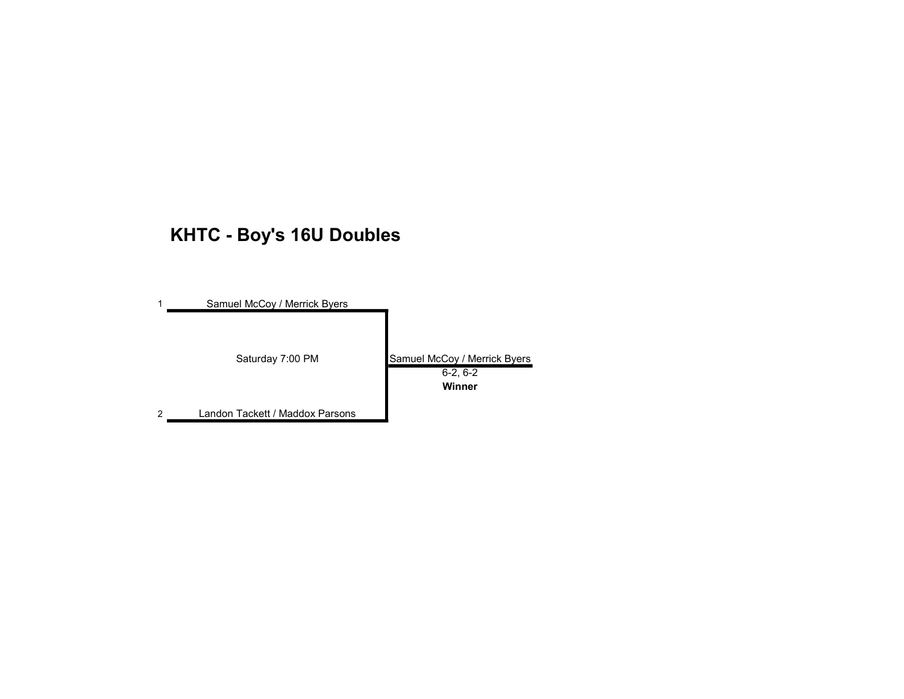# KHTC - Boy's 16U Doubles

| Samuel McCoy / Merrick Byers    |                                                      |
|---------------------------------|------------------------------------------------------|
| Saturday 7:00 PM                | Samuel McCoy / Merrick Byers<br>$6-2, 6-2$<br>Winner |
| Landon Tackett / Maddox Parsons |                                                      |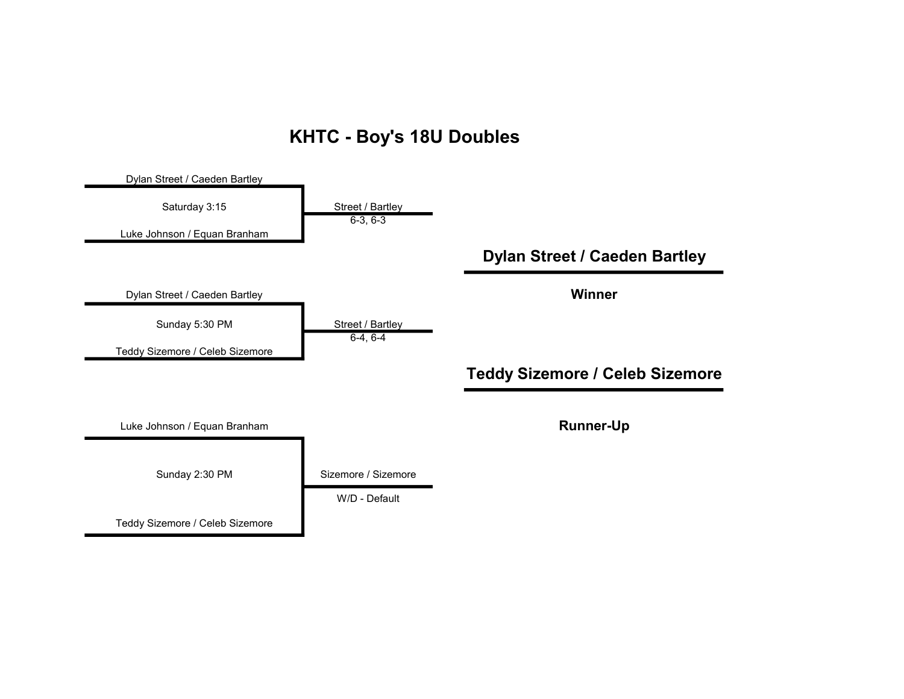#### KHTC - Boy's 18U Doubles

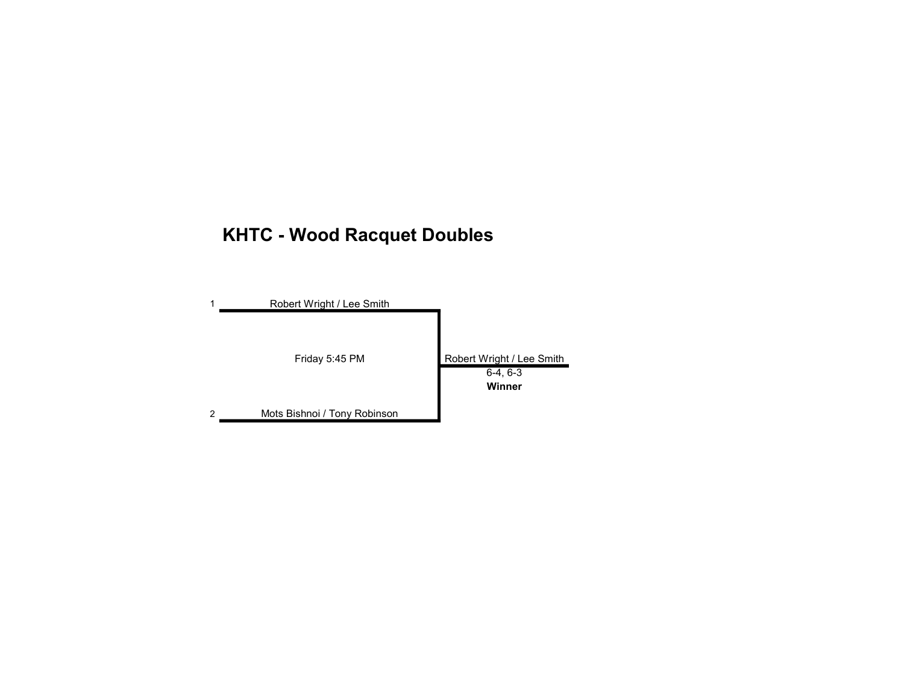# KHTC - Wood Racquet Doubles

|   | Robert Wright / Lee Smith    |                                                   |
|---|------------------------------|---------------------------------------------------|
|   | Friday 5:45 PM               | Robert Wright / Lee Smith<br>$6-4, 6-3$<br>Winner |
| 2 | Mots Bishnoi / Tony Robinson |                                                   |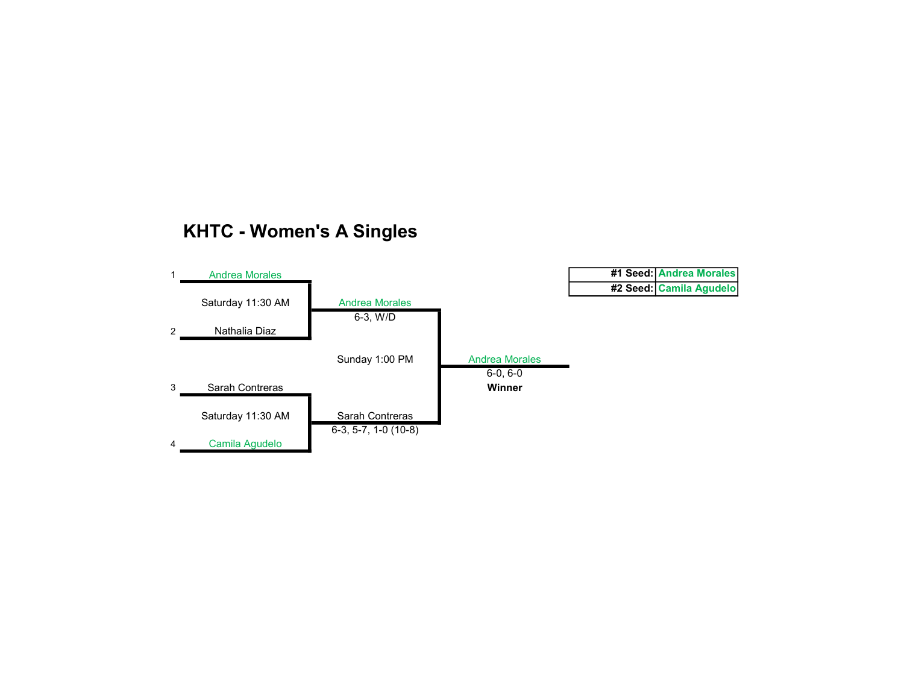#### KHTC - Women's A Singles

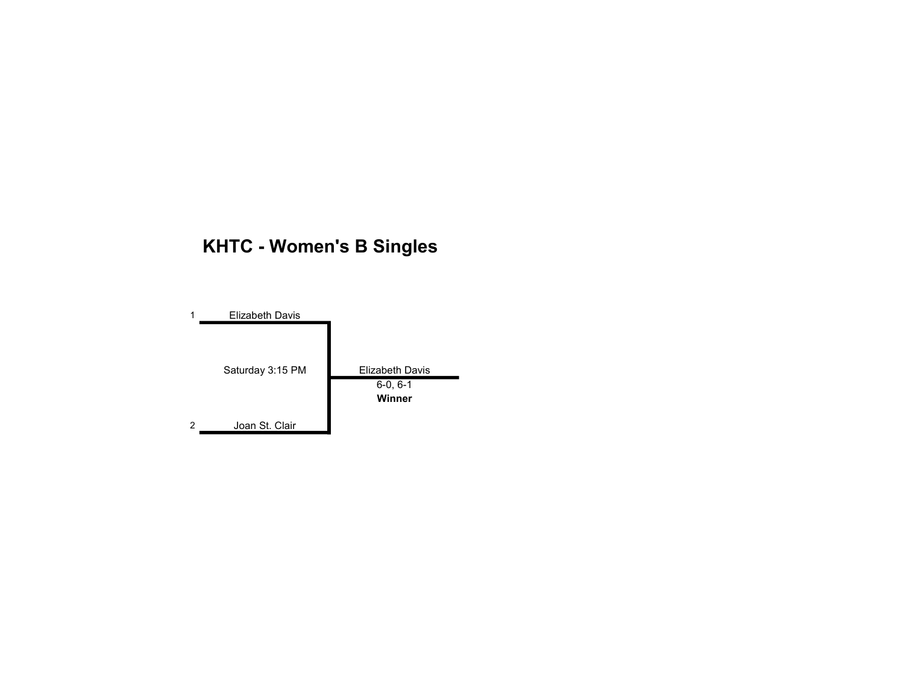# KHTC - Women's B Singles

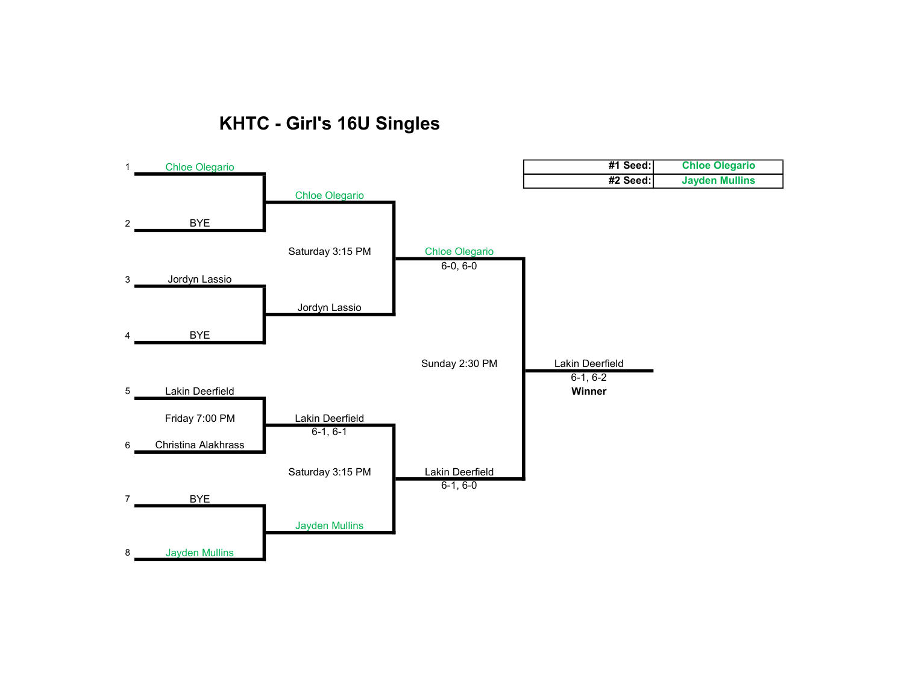### KHTC - Girl's 16U Singles

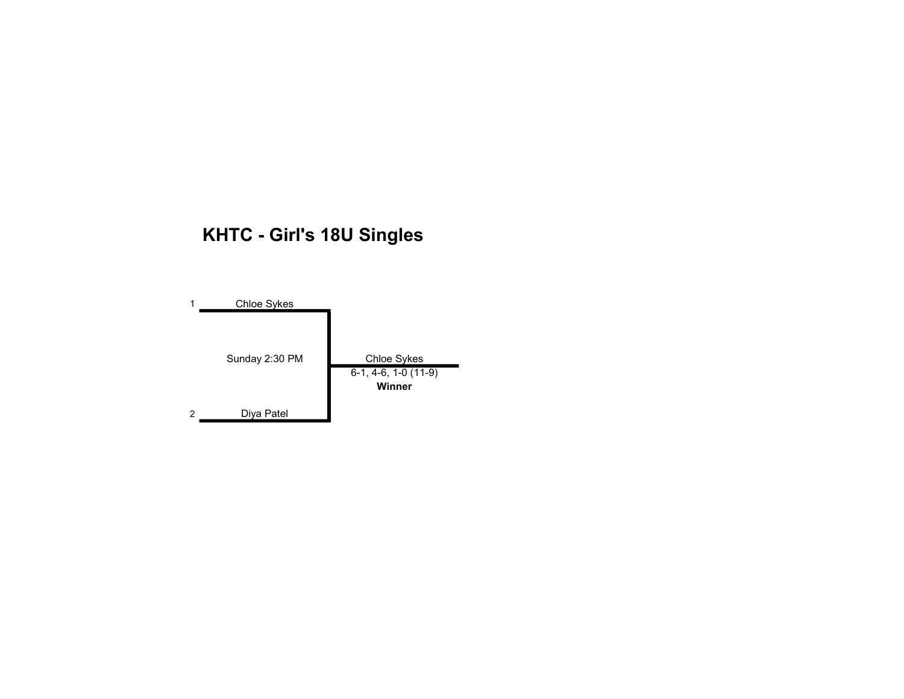# KHTC - Girl's 18U Singles

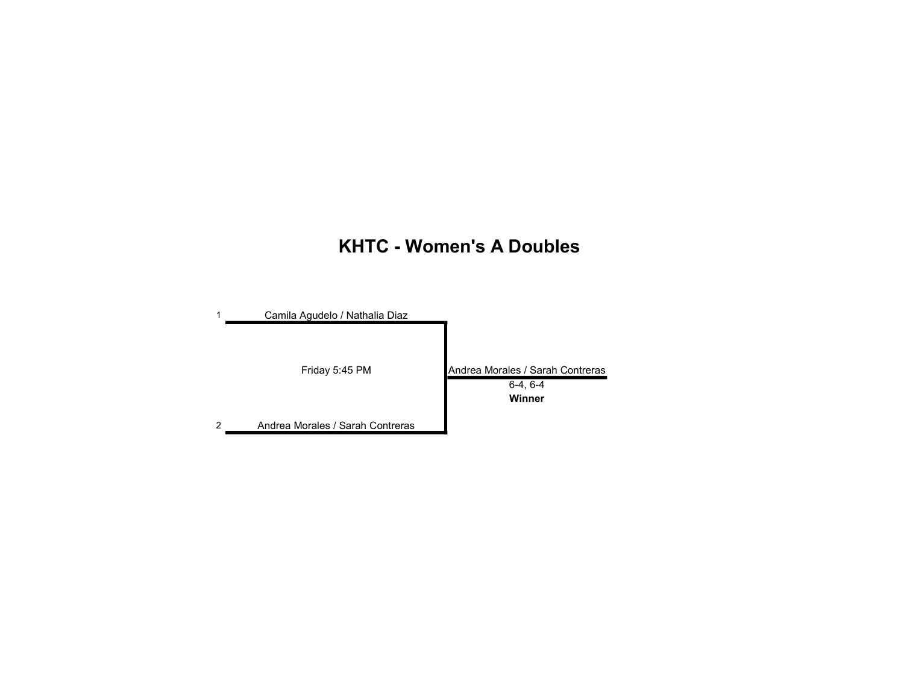### KHTC - Women's A Doubles

|   | Camila Agudelo / Nathalia Diaz   |                                                          |
|---|----------------------------------|----------------------------------------------------------|
|   | Friday 5:45 PM                   | Andrea Morales / Sarah Contreras<br>$6-4, 6-4$<br>Winner |
| 2 | Andrea Morales / Sarah Contreras |                                                          |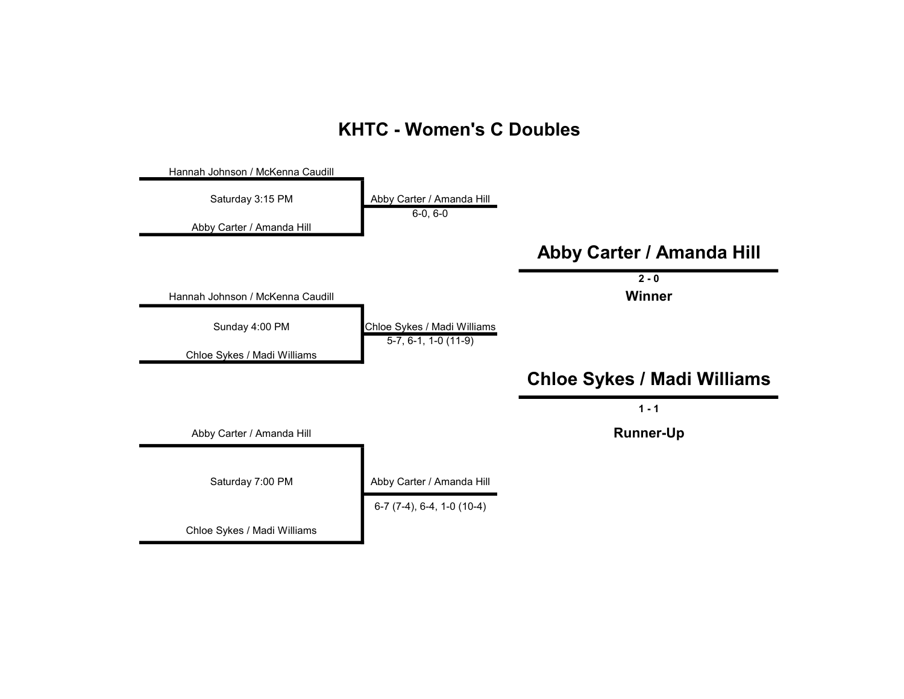#### KHTC - Women's C Doubles

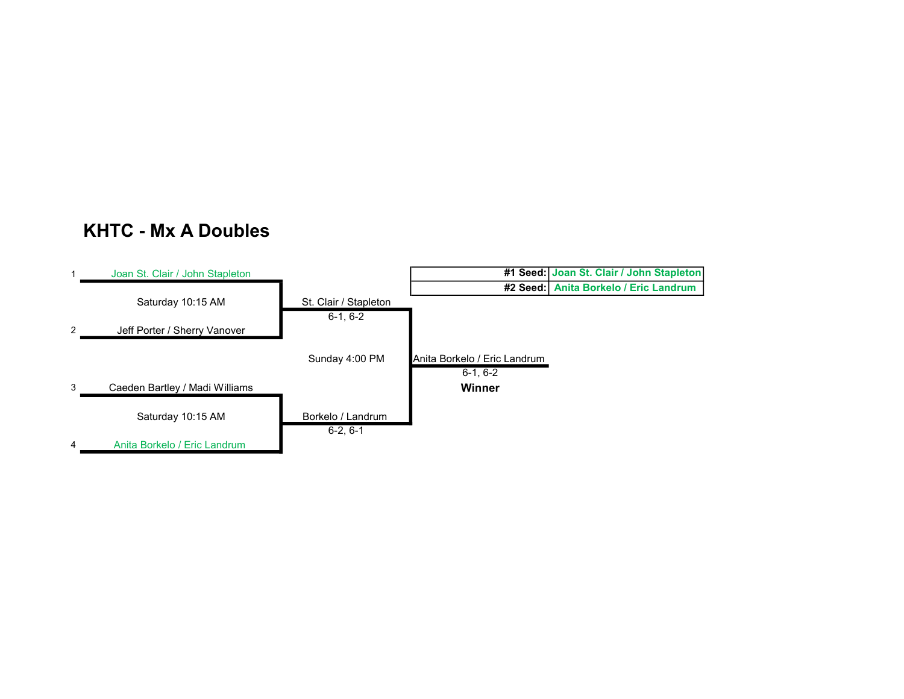#### KHTC - Mx A Doubles

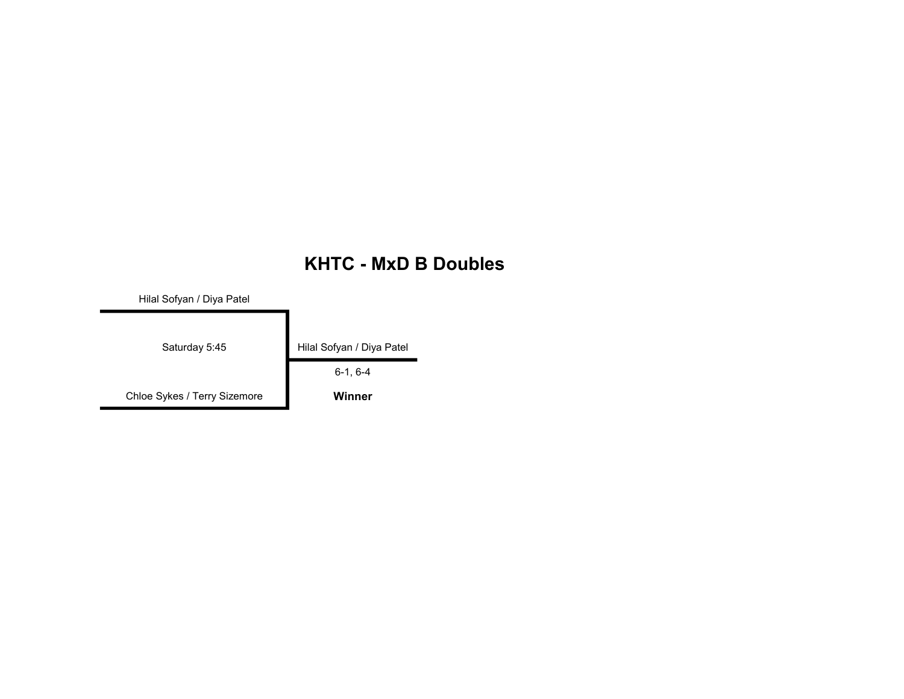#### KHTC - MxD B Doubles

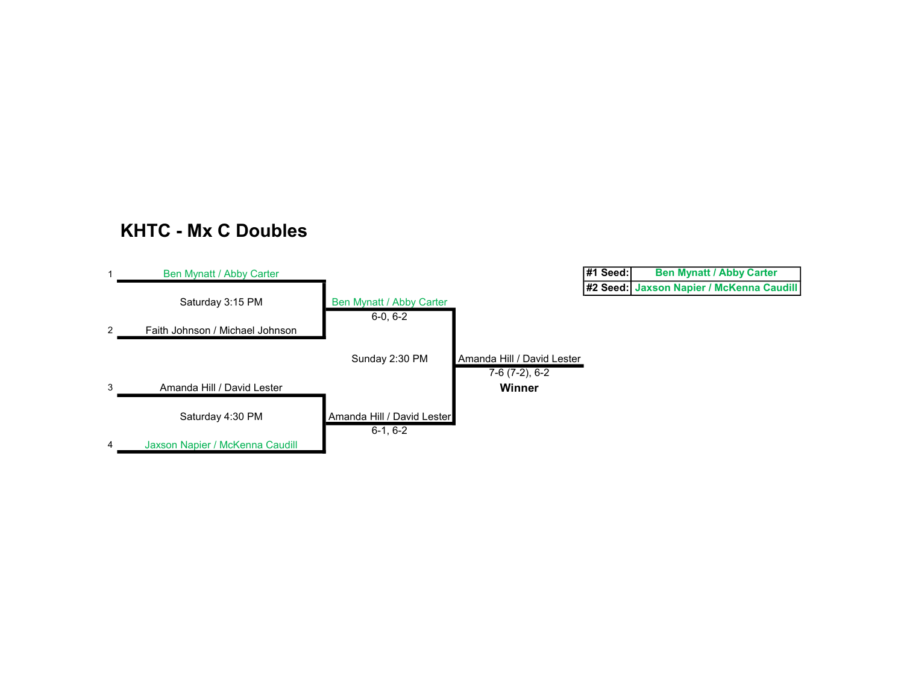#### KHTC - Mx C Doubles